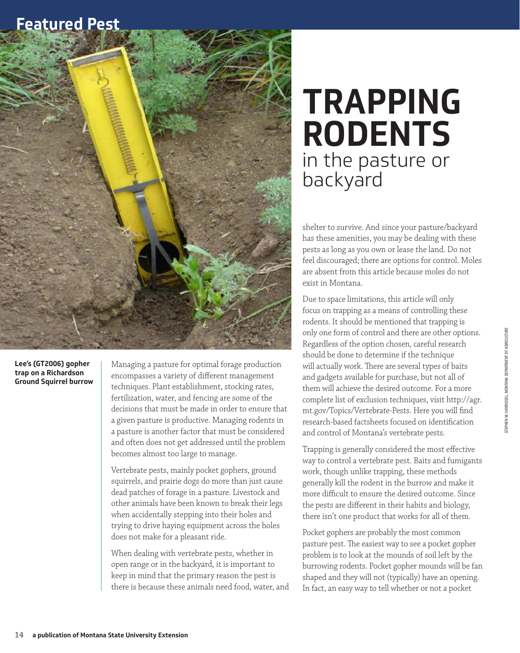## **Featured Pest**



## **Lee's (GT2006) gopher trap on a Richardson Ground Squirrel burrow**

Managing a pasture for optimal forage production encompasses a variety of different management techniques. Plant establishment, stocking rates, fertilization, water, and fencing are some of the decisions that must be made in order to ensure that a given pasture is productive. Managing rodents in a pasture is another factor that must be considered and often does not get addressed until the problem becomes almost too large to manage.

Vertebrate pests, mainly pocket gophers, ground squirrels, and prairie dogs do more than just cause dead patches of forage in a pasture. Livestock and other animals have been known to break their legs when accidentally stepping into their holes and trying to drive haying equipment across the holes does not make for a pleasant ride.

When dealing with vertebrate pests, whether in open range or in the backyard, it is important to keep in mind that the primary reason the pest is there is because these animals need food, water, and

## **TRAPPING RODENTS** in the pasture or backyard

shelter to survive. And since your pasture/backyard has these amenities, you may be dealing with these pests as long as you own or lease the land. Do not feel discouraged; there are options for control. Moles are absent from this article because moles do not exist in Montana.

Due to space limitations, this article will only focus on trapping as a means of controlling these rodents. It should be mentioned that trapping is only one form of control and there are other options. Regardless of the option chosen, careful research should be done to determine if the technique will actually work. There are several types of baits and gadgets available for purchase, but not all of them will achieve the desired outcome. For a more complete list of exclusion techniques, visit http://agr. mt.gov/Topics/Vertebrate-Pests. Here you will find research-based factsheets focused on identification and control of Montana's vertebrate pests.

Trapping is generally considered the most effective way to control a vertebrate pest. Baits and fumigants work, though unlike trapping, these methods generally kill the rodent in the burrow and make it more difficult to ensure the desired outcome. Since the pests are different in their habits and biology, there isn't one product that works for all of them.

Pocket gophers are probably the most common pasture pest. The easiest way to see a pocket gopher problem is to look at the mounds of soil left by the burrowing rodents. Pocket gopher mounds will be fan shaped and they will not (typically) have an opening. In fact, an easy way to tell whether or not a pocket